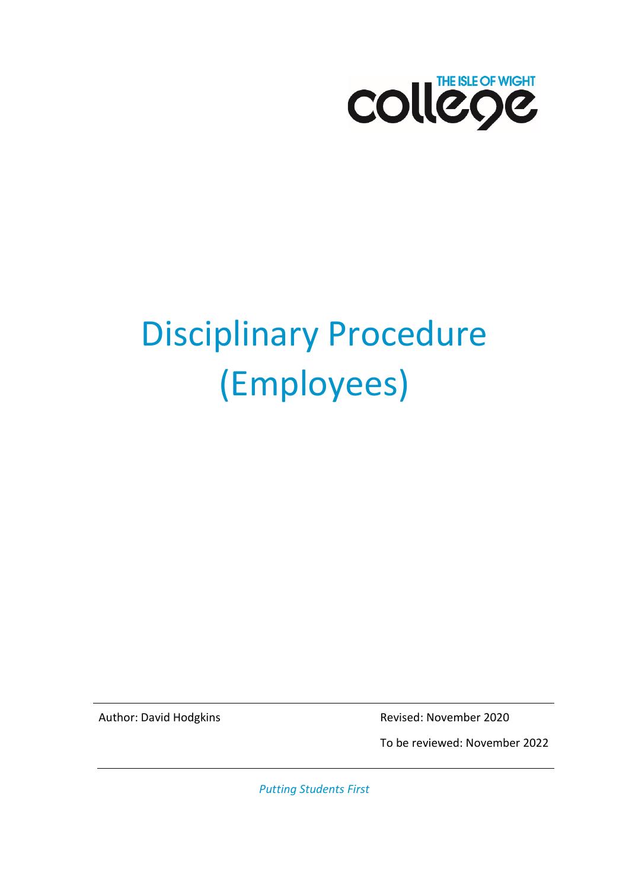

# Disciplinary Procedure (Employees)

Author: David Hodgkins **Revised: November 2020** 

To be reviewed: November 2022

*Putting Students First*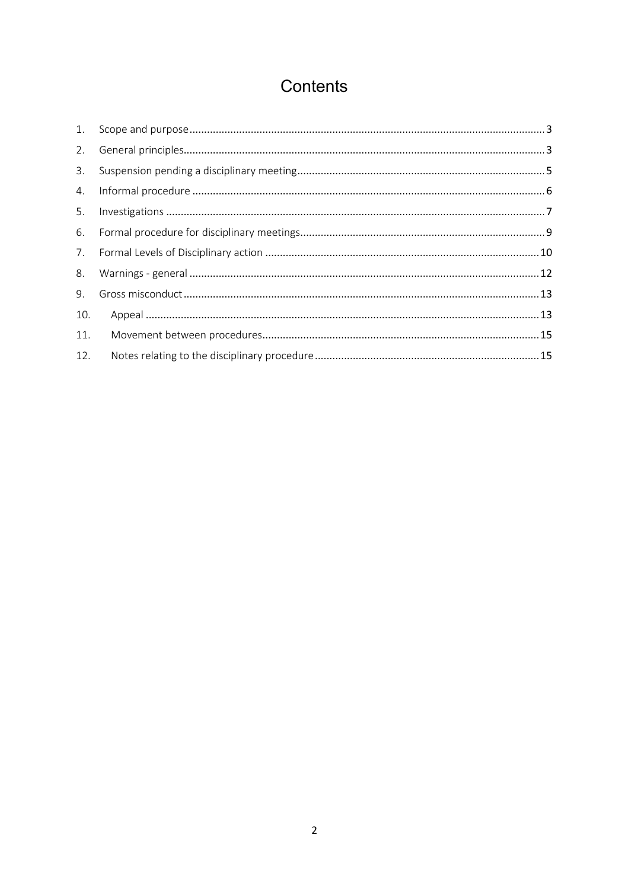# Contents

| 2.  |  |
|-----|--|
| 3.  |  |
| 4.  |  |
| 5.  |  |
| 6.  |  |
|     |  |
| 8.  |  |
| 9.  |  |
| 10. |  |
| 11. |  |
| 12. |  |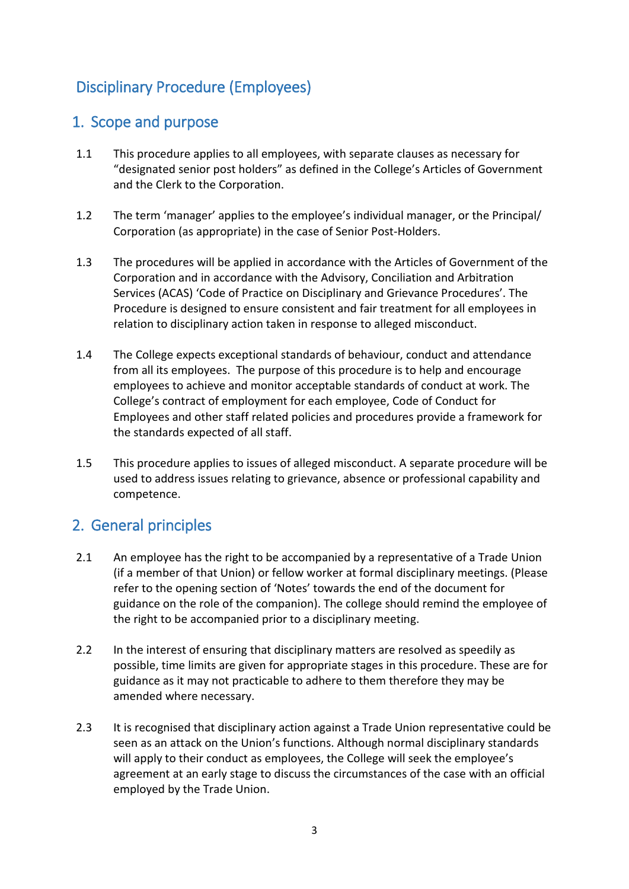## Disciplinary Procedure (Employees)

## <span id="page-2-0"></span>1. Scope and purpose

- 1.1 This procedure applies to all employees, with separate clauses as necessary for "designated senior post holders" as defined in the College's Articles of Government and the Clerk to the Corporation.
- 1.2 The term 'manager' applies to the employee's individual manager, or the Principal/ Corporation (as appropriate) in the case of Senior Post-Holders.
- 1.3 The procedures will be applied in accordance with the Articles of Government of the Corporation and in accordance with the Advisory, Conciliation and Arbitration Services (ACAS) 'Code of Practice on Disciplinary and Grievance Procedures'. The Procedure is designed to ensure consistent and fair treatment for all employees in relation to disciplinary action taken in response to alleged misconduct.
- 1.4 The College expects exceptional standards of behaviour, conduct and attendance from all its employees. The purpose of this procedure is to help and encourage employees to achieve and monitor acceptable standards of conduct at work. The College's contract of employment for each employee, Code of Conduct for Employees and other staff related policies and procedures provide a framework for the standards expected of all staff.
- 1.5 This procedure applies to issues of alleged misconduct. A separate procedure will be used to address issues relating to grievance, absence or professional capability and competence.

## <span id="page-2-1"></span>2. General principles

- 2.1 An employee has the right to be accompanied by a representative of a Trade Union (if a member of that Union) or fellow worker at formal disciplinary meetings. (Please refer to the opening section of 'Notes' towards the end of the document for guidance on the role of the companion). The college should remind the employee of the right to be accompanied prior to a disciplinary meeting.
- 2.2 In the interest of ensuring that disciplinary matters are resolved as speedily as possible, time limits are given for appropriate stages in this procedure. These are for guidance as it may not practicable to adhere to them therefore they may be amended where necessary.
- 2.3 It is recognised that disciplinary action against a Trade Union representative could be seen as an attack on the Union's functions. Although normal disciplinary standards will apply to their conduct as employees, the College will seek the employee's agreement at an early stage to discuss the circumstances of the case with an official employed by the Trade Union.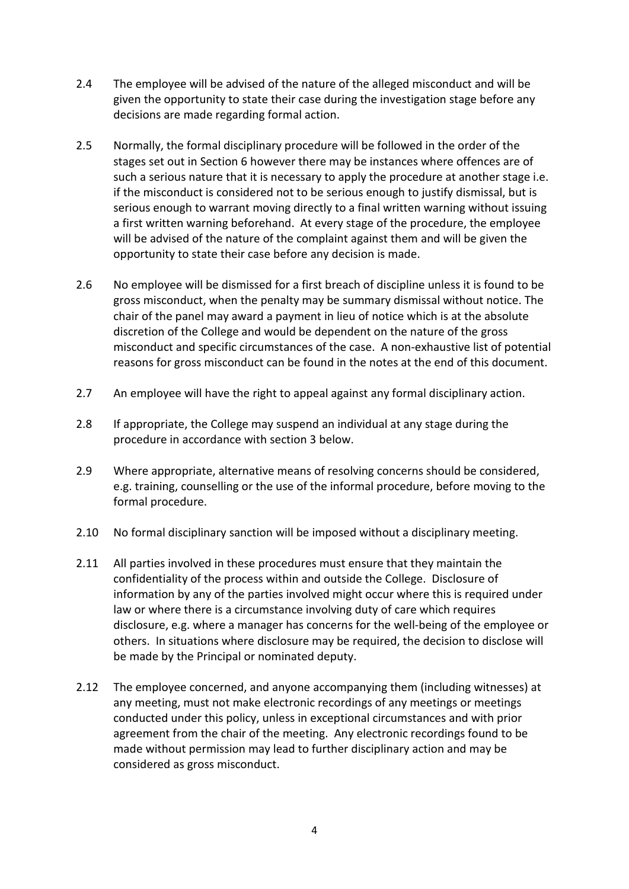- 2.4 The employee will be advised of the nature of the alleged misconduct and will be given the opportunity to state their case during the investigation stage before any decisions are made regarding formal action.
- 2.5 Normally, the formal disciplinary procedure will be followed in the order of the stages set out in Section 6 however there may be instances where offences are of such a serious nature that it is necessary to apply the procedure at another stage i.e. if the misconduct is considered not to be serious enough to justify dismissal, but is serious enough to warrant moving directly to a final written warning without issuing a first written warning beforehand. At every stage of the procedure, the employee will be advised of the nature of the complaint against them and will be given the opportunity to state their case before any decision is made.
- 2.6 No employee will be dismissed for a first breach of discipline unless it is found to be gross misconduct, when the penalty may be summary dismissal without notice. The chair of the panel may award a payment in lieu of notice which is at the absolute discretion of the College and would be dependent on the nature of the gross misconduct and specific circumstances of the case. A non-exhaustive list of potential reasons for gross misconduct can be found in the notes at the end of this document.
- 2.7 An employee will have the right to appeal against any formal disciplinary action.
- 2.8 If appropriate, the College may suspend an individual at any stage during the procedure in accordance with section 3 below.
- 2.9 Where appropriate, alternative means of resolving concerns should be considered, e.g. training, counselling or the use of the informal procedure, before moving to the formal procedure.
- 2.10 No formal disciplinary sanction will be imposed without a disciplinary meeting.
- 2.11 All parties involved in these procedures must ensure that they maintain the confidentiality of the process within and outside the College. Disclosure of information by any of the parties involved might occur where this is required under law or where there is a circumstance involving duty of care which requires disclosure, e.g. where a manager has concerns for the well-being of the employee or others. In situations where disclosure may be required, the decision to disclose will be made by the Principal or nominated deputy.
- 2.12 The employee concerned, and anyone accompanying them (including witnesses) at any meeting, must not make electronic recordings of any meetings or meetings conducted under this policy, unless in exceptional circumstances and with prior agreement from the chair of the meeting. Any electronic recordings found to be made without permission may lead to further disciplinary action and may be considered as gross misconduct.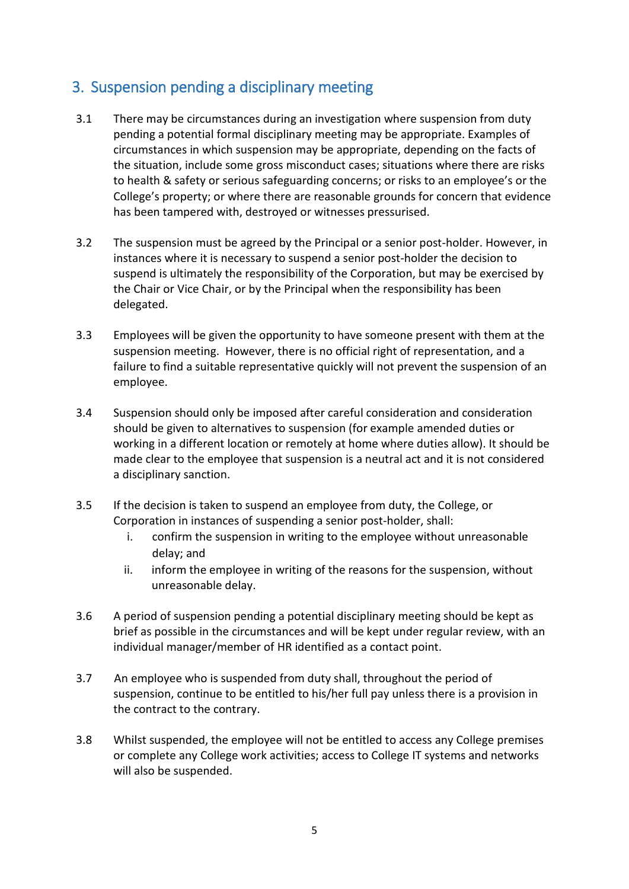## <span id="page-4-0"></span>3. Suspension pending a disciplinary meeting

- 3.1 There may be circumstances during an investigation where suspension from duty pending a potential formal disciplinary meeting may be appropriate. Examples of circumstances in which suspension may be appropriate, depending on the facts of the situation, include some gross misconduct cases; situations where there are risks to health & safety or serious safeguarding concerns; or risks to an employee's or the College's property; or where there are reasonable grounds for concern that evidence has been tampered with, destroyed or witnesses pressurised.
- 3.2 The suspension must be agreed by the Principal or a senior post-holder. However, in instances where it is necessary to suspend a senior post-holder the decision to suspend is ultimately the responsibility of the Corporation, but may be exercised by the Chair or Vice Chair, or by the Principal when the responsibility has been delegated.
- 3.3 Employees will be given the opportunity to have someone present with them at the suspension meeting. However, there is no official right of representation, and a failure to find a suitable representative quickly will not prevent the suspension of an employee.
- 3.4 Suspension should only be imposed after careful consideration and consideration should be given to alternatives to suspension (for example amended duties or working in a different location or remotely at home where duties allow). It should be made clear to the employee that suspension is a neutral act and it is not considered a disciplinary sanction.
- 3.5 If the decision is taken to suspend an employee from duty, the College, or Corporation in instances of suspending a senior post-holder, shall:
	- i. confirm the suspension in writing to the employee without unreasonable delay; and
	- ii. inform the employee in writing of the reasons for the suspension, without unreasonable delay.
- 3.6 A period of suspension pending a potential disciplinary meeting should be kept as brief as possible in the circumstances and will be kept under regular review, with an individual manager/member of HR identified as a contact point.
- 3.7 An employee who is suspended from duty shall, throughout the period of suspension, continue to be entitled to his/her full pay unless there is a provision in the contract to the contrary.
- 3.8 Whilst suspended, the employee will not be entitled to access any College premises or complete any College work activities; access to College IT systems and networks will also be suspended.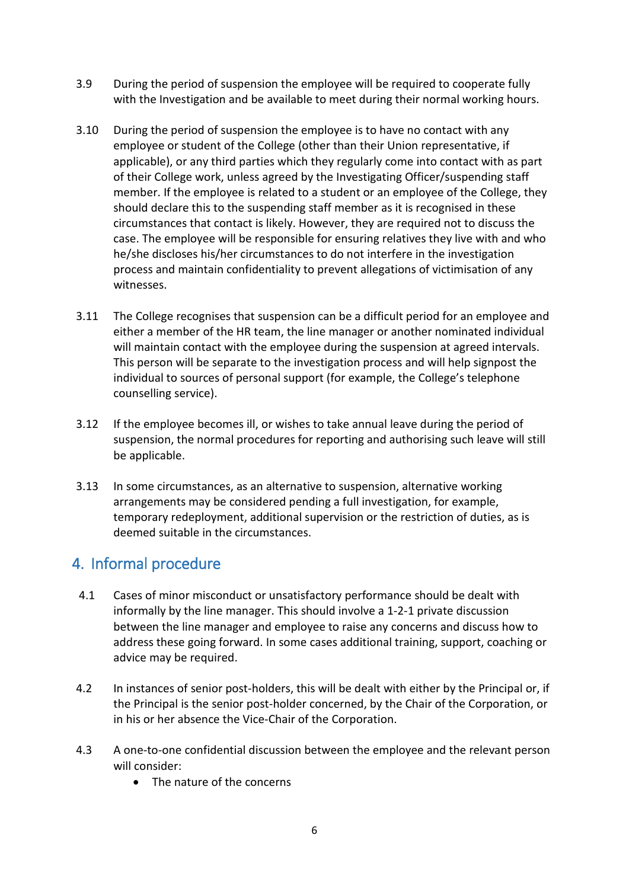- 3.9 During the period of suspension the employee will be required to cooperate fully with the Investigation and be available to meet during their normal working hours.
- 3.10 During the period of suspension the employee is to have no contact with any employee or student of the College (other than their Union representative, if applicable), or any third parties which they regularly come into contact with as part of their College work, unless agreed by the Investigating Officer/suspending staff member. If the employee is related to a student or an employee of the College, they should declare this to the suspending staff member as it is recognised in these circumstances that contact is likely. However, they are required not to discuss the case. The employee will be responsible for ensuring relatives they live with and who he/she discloses his/her circumstances to do not interfere in the investigation process and maintain confidentiality to prevent allegations of victimisation of any witnesses.
- 3.11 The College recognises that suspension can be a difficult period for an employee and either a member of the HR team, the line manager or another nominated individual will maintain contact with the employee during the suspension at agreed intervals. This person will be separate to the investigation process and will help signpost the individual to sources of personal support (for example, the College's telephone counselling service).
- 3.12 If the employee becomes ill, or wishes to take annual leave during the period of suspension, the normal procedures for reporting and authorising such leave will still be applicable.
- 3.13 In some circumstances, as an alternative to suspension, alternative working arrangements may be considered pending a full investigation, for example, temporary redeployment, additional supervision or the restriction of duties, as is deemed suitable in the circumstances.

## <span id="page-5-0"></span>4. Informal procedure

- 4.1 Cases of minor misconduct or unsatisfactory performance should be dealt with informally by the line manager. This should involve a 1-2-1 private discussion between the line manager and employee to raise any concerns and discuss how to address these going forward. In some cases additional training, support, coaching or advice may be required.
- 4.2 In instances of senior post-holders, this will be dealt with either by the Principal or, if the Principal is the senior post-holder concerned, by the Chair of the Corporation, or in his or her absence the Vice-Chair of the Corporation.
- 4.3 A one-to-one confidential discussion between the employee and the relevant person will consider:
	- The nature of the concerns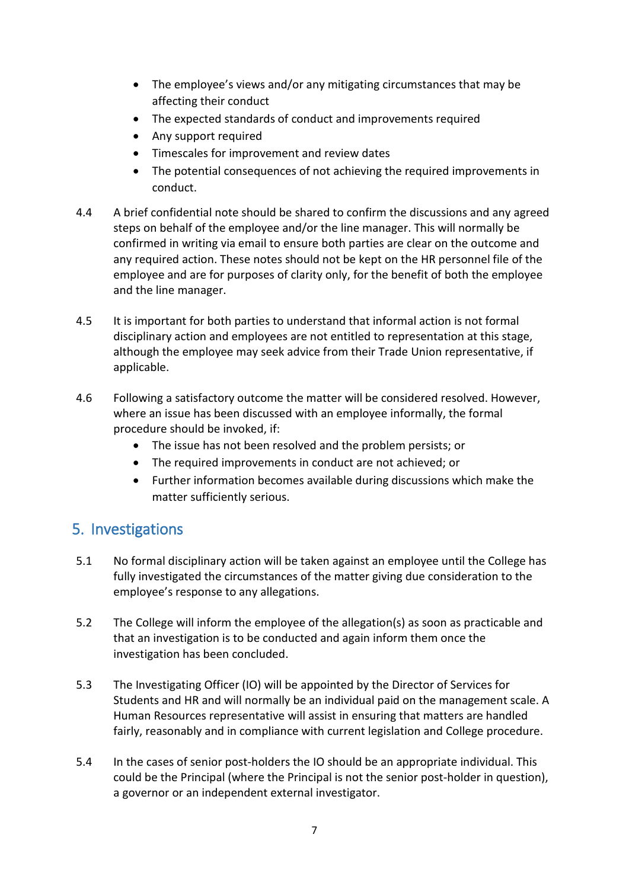- The employee's views and/or any mitigating circumstances that may be affecting their conduct
- The expected standards of conduct and improvements required
- Any support required
- Timescales for improvement and review dates
- The potential consequences of not achieving the required improvements in conduct.
- 4.4 A brief confidential note should be shared to confirm the discussions and any agreed steps on behalf of the employee and/or the line manager. This will normally be confirmed in writing via email to ensure both parties are clear on the outcome and any required action. These notes should not be kept on the HR personnel file of the employee and are for purposes of clarity only, for the benefit of both the employee and the line manager.
- 4.5 It is important for both parties to understand that informal action is not formal disciplinary action and employees are not entitled to representation at this stage, although the employee may seek advice from their Trade Union representative, if applicable.
- 4.6 Following a satisfactory outcome the matter will be considered resolved. However, where an issue has been discussed with an employee informally, the formal procedure should be invoked, if:
	- The issue has not been resolved and the problem persists; or
	- The required improvements in conduct are not achieved; or
	- Further information becomes available during discussions which make the matter sufficiently serious.

## <span id="page-6-0"></span>5. Investigations

- 5.1 No formal disciplinary action will be taken against an employee until the College has fully investigated the circumstances of the matter giving due consideration to the employee's response to any allegations.
- 5.2 The College will inform the employee of the allegation(s) as soon as practicable and that an investigation is to be conducted and again inform them once the investigation has been concluded.
- 5.3 The Investigating Officer (IO) will be appointed by the Director of Services for Students and HR and will normally be an individual paid on the management scale. A Human Resources representative will assist in ensuring that matters are handled fairly, reasonably and in compliance with current legislation and College procedure.
- 5.4 In the cases of senior post-holders the IO should be an appropriate individual. This could be the Principal (where the Principal is not the senior post-holder in question), a governor or an independent external investigator.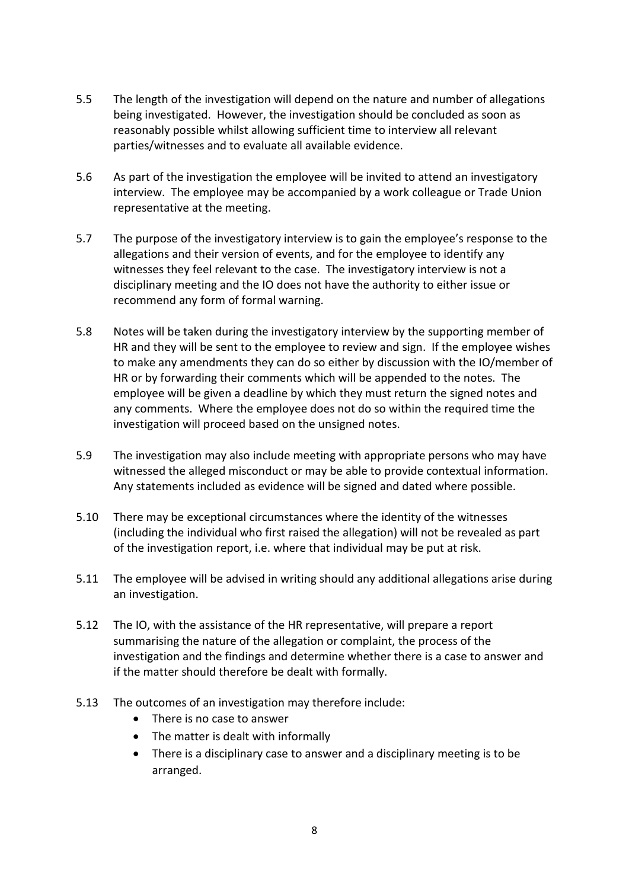- 5.5 The length of the investigation will depend on the nature and number of allegations being investigated. However, the investigation should be concluded as soon as reasonably possible whilst allowing sufficient time to interview all relevant parties/witnesses and to evaluate all available evidence.
- 5.6 As part of the investigation the employee will be invited to attend an investigatory interview. The employee may be accompanied by a work colleague or Trade Union representative at the meeting.
- 5.7 The purpose of the investigatory interview is to gain the employee's response to the allegations and their version of events, and for the employee to identify any witnesses they feel relevant to the case. The investigatory interview is not a disciplinary meeting and the IO does not have the authority to either issue or recommend any form of formal warning.
- 5.8 Notes will be taken during the investigatory interview by the supporting member of HR and they will be sent to the employee to review and sign. If the employee wishes to make any amendments they can do so either by discussion with the IO/member of HR or by forwarding their comments which will be appended to the notes. The employee will be given a deadline by which they must return the signed notes and any comments. Where the employee does not do so within the required time the investigation will proceed based on the unsigned notes.
- 5.9 The investigation may also include meeting with appropriate persons who may have witnessed the alleged misconduct or may be able to provide contextual information. Any statements included as evidence will be signed and dated where possible.
- 5.10 There may be exceptional circumstances where the identity of the witnesses (including the individual who first raised the allegation) will not be revealed as part of the investigation report, i.e. where that individual may be put at risk.
- 5.11 The employee will be advised in writing should any additional allegations arise during an investigation.
- 5.12 The IO, with the assistance of the HR representative, will prepare a report summarising the nature of the allegation or complaint, the process of the investigation and the findings and determine whether there is a case to answer and if the matter should therefore be dealt with formally.
- 5.13 The outcomes of an investigation may therefore include:
	- There is no case to answer
	- The matter is dealt with informally
	- There is a disciplinary case to answer and a disciplinary meeting is to be arranged.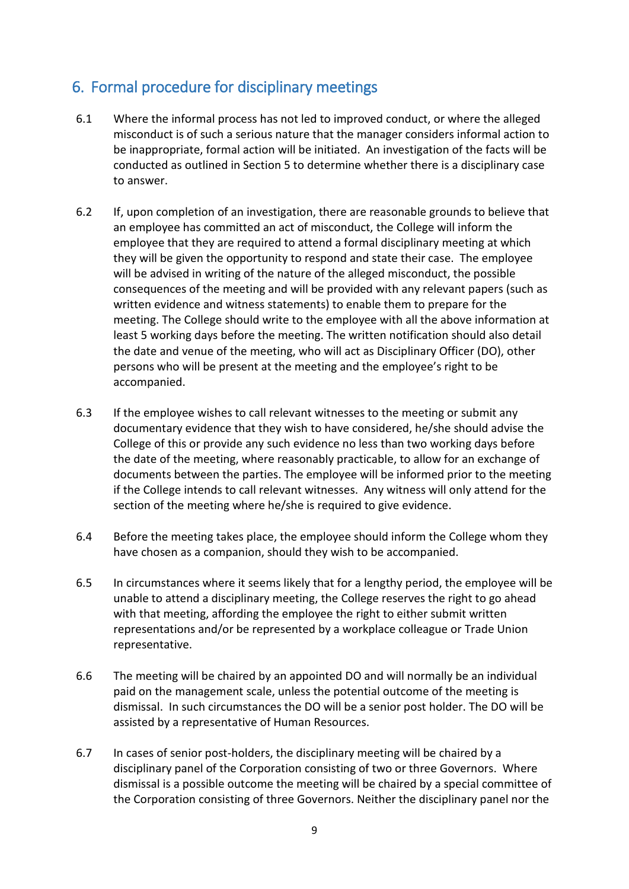## <span id="page-8-0"></span>6. Formal procedure for disciplinary meetings

- 6.1 Where the informal process has not led to improved conduct, or where the alleged misconduct is of such a serious nature that the manager considers informal action to be inappropriate, formal action will be initiated. An investigation of the facts will be conducted as outlined in Section 5 to determine whether there is a disciplinary case to answer.
- 6.2 If, upon completion of an investigation, there are reasonable grounds to believe that an employee has committed an act of misconduct, the College will inform the employee that they are required to attend a formal disciplinary meeting at which they will be given the opportunity to respond and state their case. The employee will be advised in writing of the nature of the alleged misconduct, the possible consequences of the meeting and will be provided with any relevant papers (such as written evidence and witness statements) to enable them to prepare for the meeting. The College should write to the employee with all the above information at least 5 working days before the meeting. The written notification should also detail the date and venue of the meeting, who will act as Disciplinary Officer (DO), other persons who will be present at the meeting and the employee's right to be accompanied.
- 6.3 If the employee wishes to call relevant witnesses to the meeting or submit any documentary evidence that they wish to have considered, he/she should advise the College of this or provide any such evidence no less than two working days before the date of the meeting, where reasonably practicable, to allow for an exchange of documents between the parties. The employee will be informed prior to the meeting if the College intends to call relevant witnesses. Any witness will only attend for the section of the meeting where he/she is required to give evidence.
- 6.4 Before the meeting takes place, the employee should inform the College whom they have chosen as a companion, should they wish to be accompanied.
- 6.5 In circumstances where it seems likely that for a lengthy period, the employee will be unable to attend a disciplinary meeting, the College reserves the right to go ahead with that meeting, affording the employee the right to either submit written representations and/or be represented by a workplace colleague or Trade Union representative.
- 6.6 The meeting will be chaired by an appointed DO and will normally be an individual paid on the management scale, unless the potential outcome of the meeting is dismissal. In such circumstances the DO will be a senior post holder. The DO will be assisted by a representative of Human Resources.
- 6.7 In cases of senior post-holders, the disciplinary meeting will be chaired by a disciplinary panel of the Corporation consisting of two or three Governors. Where dismissal is a possible outcome the meeting will be chaired by a special committee of the Corporation consisting of three Governors. Neither the disciplinary panel nor the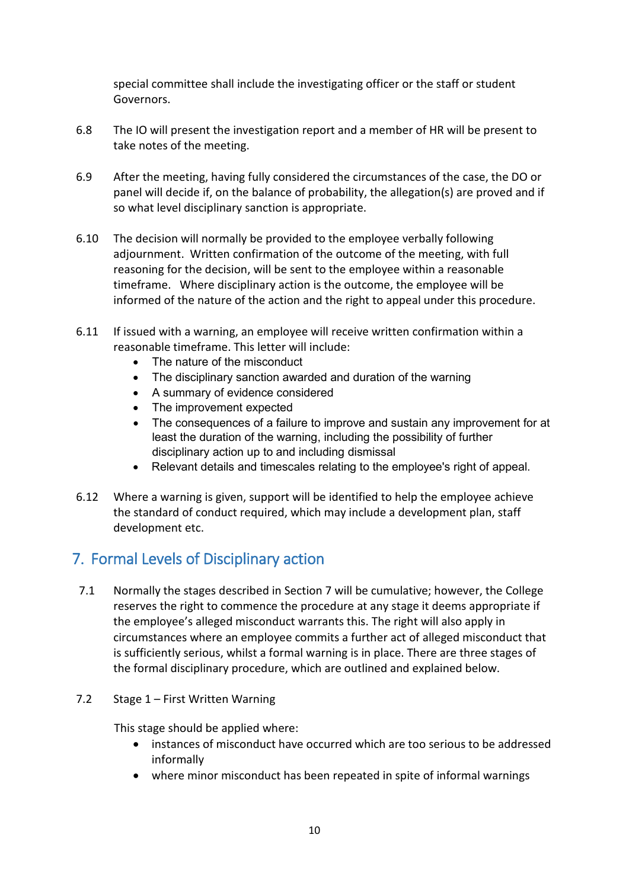special committee shall include the investigating officer or the staff or student Governors.

- 6.8 The IO will present the investigation report and a member of HR will be present to take notes of the meeting.
- 6.9 After the meeting, having fully considered the circumstances of the case, the DO or panel will decide if, on the balance of probability, the allegation(s) are proved and if so what level disciplinary sanction is appropriate.
- 6.10 The decision will normally be provided to the employee verbally following adjournment. Written confirmation of the outcome of the meeting, with full reasoning for the decision, will be sent to the employee within a reasonable timeframe. Where disciplinary action is the outcome, the employee will be informed of the nature of the action and the right to appeal under this procedure.
- 6.11 If issued with a warning, an employee will receive written confirmation within a reasonable timeframe. This letter will include:
	- The nature of the misconduct
	- The disciplinary sanction awarded and duration of the warning
	- A summary of evidence considered
	- The improvement expected
	- The consequences of a failure to improve and sustain any improvement for at least the duration of the warning, including the possibility of further disciplinary action up to and including dismissal
	- Relevant details and timescales relating to the employee's right of appeal.
- 6.12 Where a warning is given, support will be identified to help the employee achieve the standard of conduct required, which may include a development plan, staff development etc.

## <span id="page-9-0"></span>7. Formal Levels of Disciplinary action

- 7.1 Normally the stages described in Section 7 will be cumulative; however, the College reserves the right to commence the procedure at any stage it deems appropriate if the employee's alleged misconduct warrants this. The right will also apply in circumstances where an employee commits a further act of alleged misconduct that is sufficiently serious, whilst a formal warning is in place. There are three stages of the formal disciplinary procedure, which are outlined and explained below.
- 7.2 Stage 1 First Written Warning

This stage should be applied where:

- instances of misconduct have occurred which are too serious to be addressed informally
- where minor misconduct has been repeated in spite of informal warnings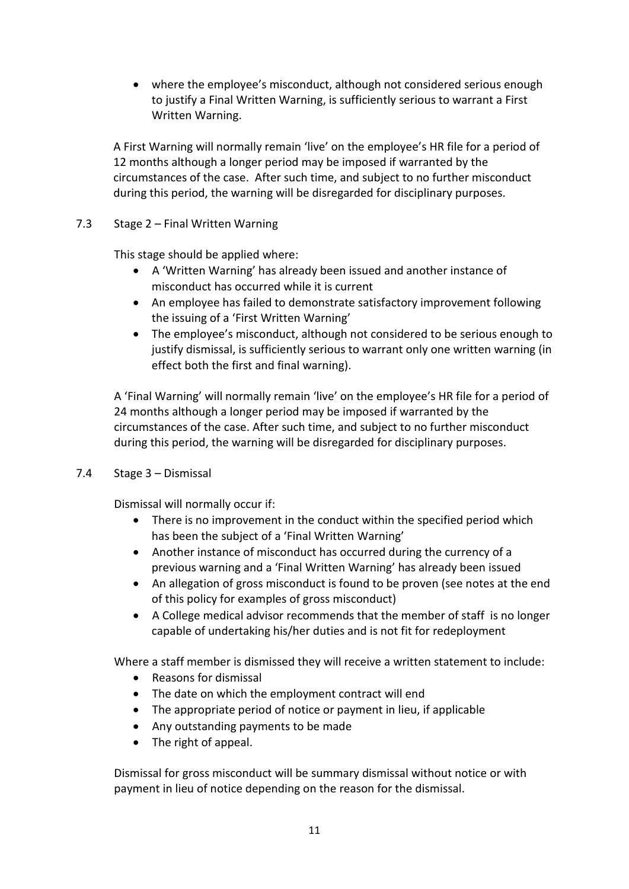• where the employee's misconduct, although not considered serious enough to justify a Final Written Warning, is sufficiently serious to warrant a First Written Warning.

A First Warning will normally remain 'live' on the employee's HR file for a period of 12 months although a longer period may be imposed if warranted by the circumstances of the case. After such time, and subject to no further misconduct during this period, the warning will be disregarded for disciplinary purposes.

7.3 Stage 2 – Final Written Warning

This stage should be applied where:

- A 'Written Warning' has already been issued and another instance of misconduct has occurred while it is current
- An employee has failed to demonstrate satisfactory improvement following the issuing of a 'First Written Warning'
- The employee's misconduct, although not considered to be serious enough to justify dismissal, is sufficiently serious to warrant only one written warning (in effect both the first and final warning).

A 'Final Warning' will normally remain 'live' on the employee's HR file for a period of 24 months although a longer period may be imposed if warranted by the circumstances of the case. After such time, and subject to no further misconduct during this period, the warning will be disregarded for disciplinary purposes.

7.4 Stage 3 – Dismissal

Dismissal will normally occur if:

- There is no improvement in the conduct within the specified period which has been the subject of a 'Final Written Warning'
- Another instance of misconduct has occurred during the currency of a previous warning and a 'Final Written Warning' has already been issued
- An allegation of gross misconduct is found to be proven (see notes at the end of this policy for examples of gross misconduct)
- A College medical advisor recommends that the member of staff is no longer capable of undertaking his/her duties and is not fit for redeployment

Where a staff member is dismissed they will receive a written statement to include:

- Reasons for dismissal
- The date on which the employment contract will end
- The appropriate period of notice or payment in lieu, if applicable
- Any outstanding payments to be made
- The right of appeal.

Dismissal for gross misconduct will be summary dismissal without notice or with payment in lieu of notice depending on the reason for the dismissal.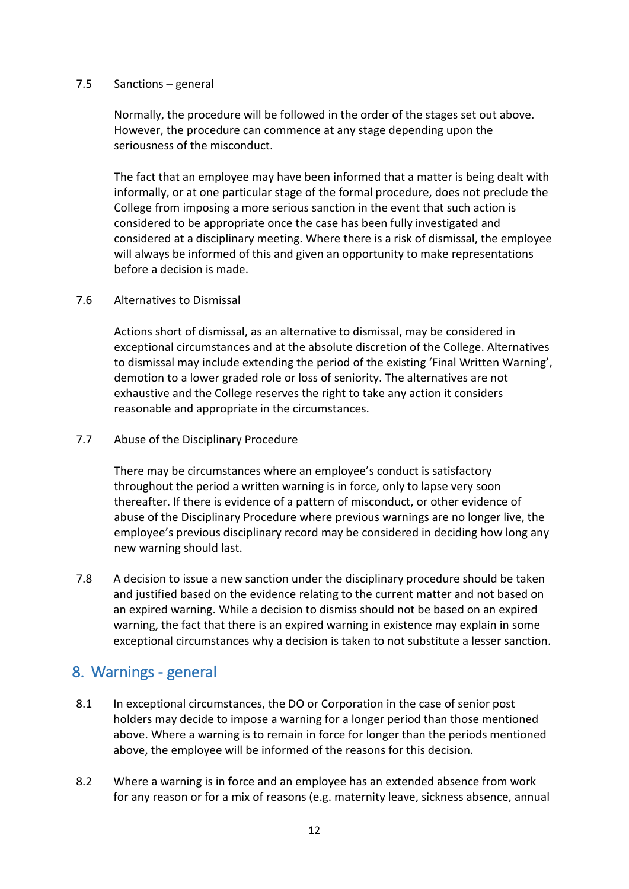#### 7.5 Sanctions – general

Normally, the procedure will be followed in the order of the stages set out above. However, the procedure can commence at any stage depending upon the seriousness of the misconduct.

The fact that an employee may have been informed that a matter is being dealt with informally, or at one particular stage of the formal procedure, does not preclude the College from imposing a more serious sanction in the event that such action is considered to be appropriate once the case has been fully investigated and considered at a disciplinary meeting. Where there is a risk of dismissal, the employee will always be informed of this and given an opportunity to make representations before a decision is made.

#### 7.6 Alternatives to Dismissal

Actions short of dismissal, as an alternative to dismissal, may be considered in exceptional circumstances and at the absolute discretion of the College. Alternatives to dismissal may include extending the period of the existing 'Final Written Warning', demotion to a lower graded role or loss of seniority. The alternatives are not exhaustive and the College reserves the right to take any action it considers reasonable and appropriate in the circumstances.

#### 7.7 Abuse of the Disciplinary Procedure

There may be circumstances where an employee's conduct is satisfactory throughout the period a written warning is in force, only to lapse very soon thereafter. If there is evidence of a pattern of misconduct, or other evidence of abuse of the Disciplinary Procedure where previous warnings are no longer live, the employee's previous disciplinary record may be considered in deciding how long any new warning should last.

7.8 A decision to issue a new sanction under the disciplinary procedure should be taken and justified based on the evidence relating to the current matter and not based on an expired warning. While a decision to dismiss should not be based on an expired warning, the fact that there is an expired warning in existence may explain in some exceptional circumstances why a decision is taken to not substitute a lesser sanction.

## <span id="page-11-0"></span>8. Warnings - general

- 8.1 In exceptional circumstances, the DO or Corporation in the case of senior post holders may decide to impose a warning for a longer period than those mentioned above. Where a warning is to remain in force for longer than the periods mentioned above, the employee will be informed of the reasons for this decision.
- 8.2 Where a warning is in force and an employee has an extended absence from work for any reason or for a mix of reasons (e.g. maternity leave, sickness absence, annual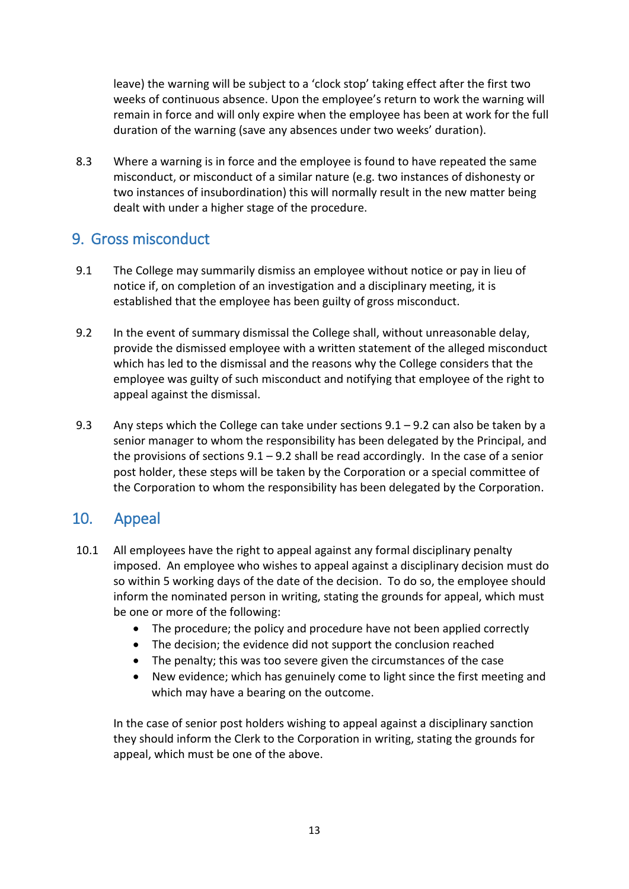leave) the warning will be subject to a 'clock stop' taking effect after the first two weeks of continuous absence. Upon the employee's return to work the warning will remain in force and will only expire when the employee has been at work for the full duration of the warning (save any absences under two weeks' duration).

8.3 Where a warning is in force and the employee is found to have repeated the same misconduct, or misconduct of a similar nature (e.g. two instances of dishonesty or two instances of insubordination) this will normally result in the new matter being dealt with under a higher stage of the procedure.

## <span id="page-12-0"></span>9. Gross misconduct

- 9.1 The College may summarily dismiss an employee without notice or pay in lieu of notice if, on completion of an investigation and a disciplinary meeting, it is established that the employee has been guilty of gross misconduct.
- 9.2 In the event of summary dismissal the College shall, without unreasonable delay, provide the dismissed employee with a written statement of the alleged misconduct which has led to the dismissal and the reasons why the College considers that the employee was guilty of such misconduct and notifying that employee of the right to appeal against the dismissal.
- 9.3 Any steps which the College can take under sections  $9.1 9.2$  can also be taken by a senior manager to whom the responsibility has been delegated by the Principal, and the provisions of sections  $9.1 - 9.2$  shall be read accordingly. In the case of a senior post holder, these steps will be taken by the Corporation or a special committee of the Corporation to whom the responsibility has been delegated by the Corporation.

## <span id="page-12-1"></span>10. Appeal

- 10.1 All employees have the right to appeal against any formal disciplinary penalty imposed. An employee who wishes to appeal against a disciplinary decision must do so within 5 working days of the date of the decision. To do so, the employee should inform the nominated person in writing, stating the grounds for appeal, which must be one or more of the following:
	- The procedure; the policy and procedure have not been applied correctly
	- The decision; the evidence did not support the conclusion reached
	- The penalty; this was too severe given the circumstances of the case
	- New evidence; which has genuinely come to light since the first meeting and which may have a bearing on the outcome.

In the case of senior post holders wishing to appeal against a disciplinary sanction they should inform the Clerk to the Corporation in writing, stating the grounds for appeal, which must be one of the above.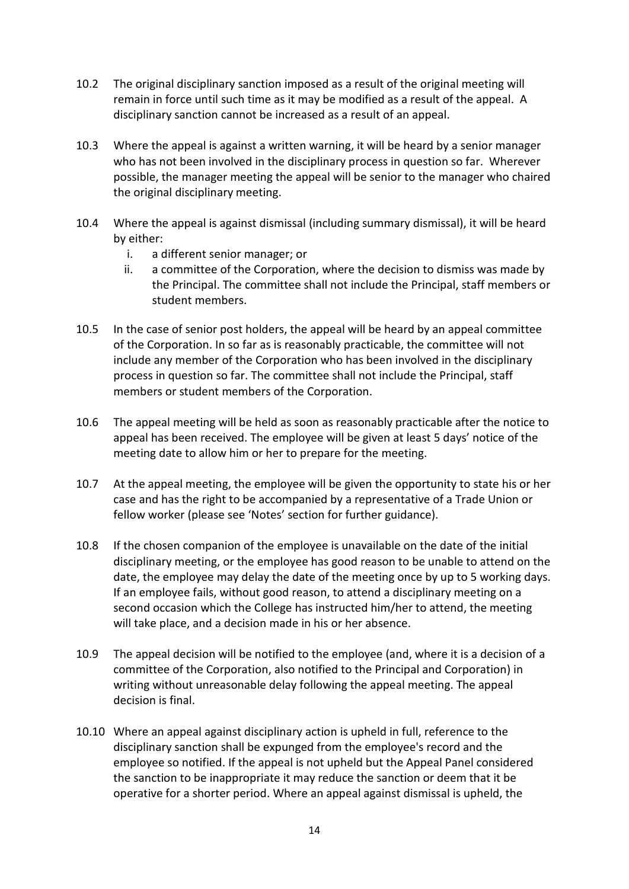- 10.2 The original disciplinary sanction imposed as a result of the original meeting will remain in force until such time as it may be modified as a result of the appeal. A disciplinary sanction cannot be increased as a result of an appeal.
- 10.3 Where the appeal is against a written warning, it will be heard by a senior manager who has not been involved in the disciplinary process in question so far. Wherever possible, the manager meeting the appeal will be senior to the manager who chaired the original disciplinary meeting.
- 10.4 Where the appeal is against dismissal (including summary dismissal), it will be heard by either:
	- i. a different senior manager; or
	- ii. a committee of the Corporation, where the decision to dismiss was made by the Principal. The committee shall not include the Principal, staff members or student members.
- 10.5 In the case of senior post holders, the appeal will be heard by an appeal committee of the Corporation. In so far as is reasonably practicable, the committee will not include any member of the Corporation who has been involved in the disciplinary process in question so far. The committee shall not include the Principal, staff members or student members of the Corporation.
- 10.6 The appeal meeting will be held as soon as reasonably practicable after the notice to appeal has been received. The employee will be given at least 5 days' notice of the meeting date to allow him or her to prepare for the meeting.
- 10.7 At the appeal meeting, the employee will be given the opportunity to state his or her case and has the right to be accompanied by a representative of a Trade Union or fellow worker (please see 'Notes' section for further guidance).
- 10.8 If the chosen companion of the employee is unavailable on the date of the initial disciplinary meeting, or the employee has good reason to be unable to attend on the date, the employee may delay the date of the meeting once by up to 5 working days. If an employee fails, without good reason, to attend a disciplinary meeting on a second occasion which the College has instructed him/her to attend, the meeting will take place, and a decision made in his or her absence.
- 10.9 The appeal decision will be notified to the employee (and, where it is a decision of a committee of the Corporation, also notified to the Principal and Corporation) in writing without unreasonable delay following the appeal meeting. The appeal decision is final.
- 10.10 Where an appeal against disciplinary action is upheld in full, reference to the disciplinary sanction shall be expunged from the employee's record and the employee so notified. If the appeal is not upheld but the Appeal Panel considered the sanction to be inappropriate it may reduce the sanction or deem that it be operative for a shorter period. Where an appeal against dismissal is upheld, the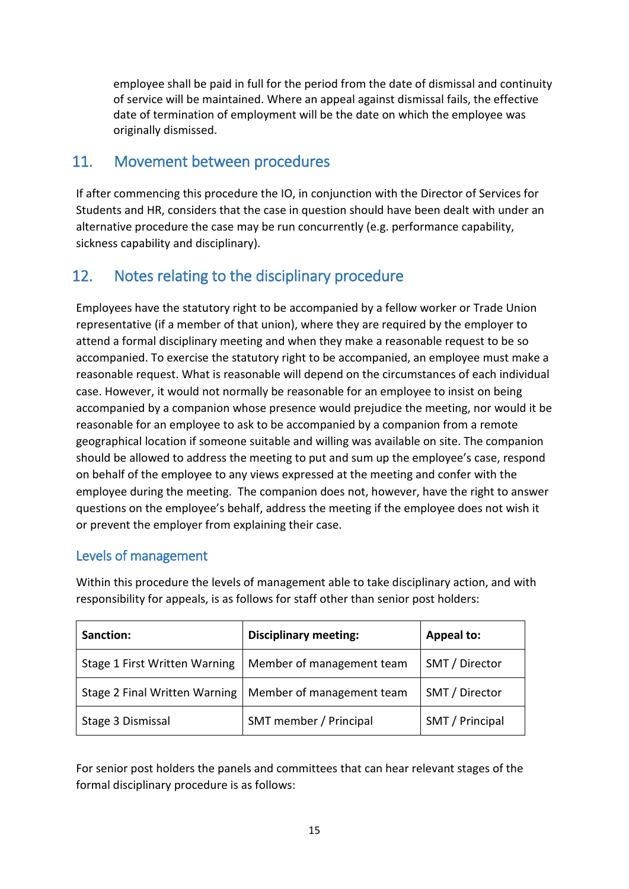employee shall be paid in full for the period from the date of dismissal and continuity of service will be maintained. Where an appeal against dismissal fails, the effective date of termination of employment will be the date on which the employee was originally dismissed.

## <span id="page-14-0"></span>11. Movement between procedures

If after commencing this procedure the IO, in conjunction with the Director of Services for Students and HR, considers that the case in question should have been dealt with under an alternative procedure the case may be run concurrently (e.g. performance capability, sickness capability and disciplinary).

## <span id="page-14-1"></span>12. Notes relating to the disciplinary procedure

Employees have the statutory right to be accompanied by a fellow worker or Trade Union representative (if a member of that union), where they are required by the employer to attend a formal disciplinary meeting and when they make a reasonable request to be so accompanied. To exercise the statutory right to be accompanied, an employee must make a reasonable request. What is reasonable will depend on the circumstances of each individual case. However, it would not normally be reasonable for an employee to insist on being accompanied by a companion whose presence would prejudice the meeting, nor would it be reasonable for an employee to ask to be accompanied by a companion from a remote geographical location if someone suitable and willing was available on site. The companion should be allowed to address the meeting to put and sum up the employee's case, respond on behalf of the employee to any views expressed at the meeting and confer with the employee during the meeting. The companion does not, however, have the right to answer questions on the employee's behalf, address the meeting if the employee does not wish it or prevent the employer from explaining their case.

### Levels of management

| Sanction:                     | <b>Disciplinary meeting:</b> | <b>Appeal to:</b> |
|-------------------------------|------------------------------|-------------------|
| Stage 1 First Written Warning | Member of management team    | SMT / Director    |
| Stage 2 Final Written Warning | Member of management team    | SMT / Director    |
| Stage 3 Dismissal             | SMT member / Principal       | SMT / Principal   |

Within this procedure the levels of management able to take disciplinary action, and with responsibility for appeals, is as follows for staff other than senior post holders:

For senior post holders the panels and committees that can hear relevant stages of the formal disciplinary procedure is as follows: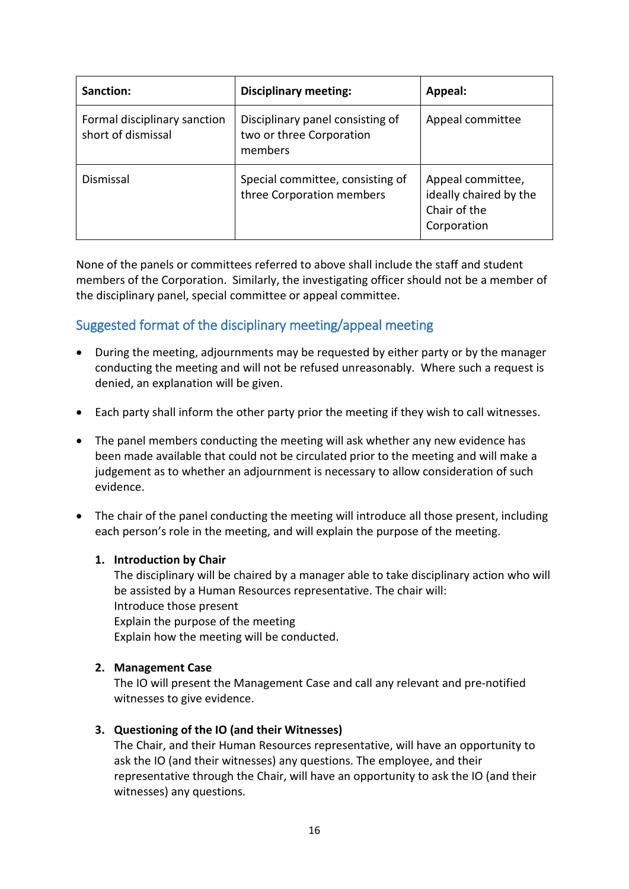| Sanction:                                          | <b>Disciplinary meeting:</b>                                            | Appeal:                                                                    |
|----------------------------------------------------|-------------------------------------------------------------------------|----------------------------------------------------------------------------|
| Formal disciplinary sanction<br>short of dismissal | Disciplinary panel consisting of<br>two or three Corporation<br>members | Appeal committee                                                           |
| Dismissal                                          | Special committee, consisting of<br>three Corporation members           | Appeal committee,<br>ideally chaired by the<br>Chair of the<br>Corporation |

None of the panels or committees referred to above shall include the staff and student members of the Corporation. Similarly, the investigating officer should not be a member of the disciplinary panel, special committee or appeal committee.

### Suggested format of the disciplinary meeting/appeal meeting

- During the meeting, adjournments may be requested by either party or by the manager conducting the meeting and will not be refused unreasonably. Where such a request is denied, an explanation will be given.
- Each party shall inform the other party prior the meeting if they wish to call witnesses.
- The panel members conducting the meeting will ask whether any new evidence has been made available that could not be circulated prior to the meeting and will make a judgement as to whether an adjournment is necessary to allow consideration of such evidence.
- The chair of the panel conducting the meeting will introduce all those present, including each person's role in the meeting, and will explain the purpose of the meeting.

#### **1. Introduction by Chair**

The disciplinary will be chaired by a manager able to take disciplinary action who will be assisted by a Human Resources representative. The chair will: Introduce those present Explain the purpose of the meeting Explain how the meeting will be conducted.

#### **2. Management Case**

The IO will present the Management Case and call any relevant and pre-notified witnesses to give evidence.

#### **3. Questioning of the IO (and their Witnesses)**

The Chair, and their Human Resources representative, will have an opportunity to ask the IO (and their witnesses) any questions. The employee, and their representative through the Chair, will have an opportunity to ask the IO (and their witnesses) any questions.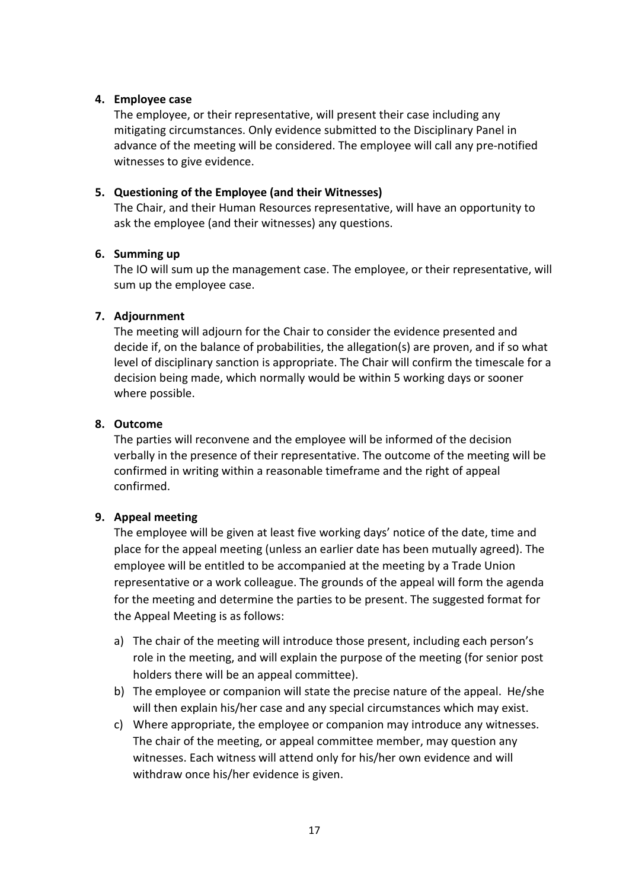#### **4. Employee case**

The employee, or their representative, will present their case including any mitigating circumstances. Only evidence submitted to the Disciplinary Panel in advance of the meeting will be considered. The employee will call any pre-notified witnesses to give evidence.

#### **5. Questioning of the Employee (and their Witnesses)**

The Chair, and their Human Resources representative, will have an opportunity to ask the employee (and their witnesses) any questions.

#### **6. Summing up**

The IO will sum up the management case. The employee, or their representative, will sum up the employee case.

#### **7. Adjournment**

The meeting will adjourn for the Chair to consider the evidence presented and decide if, on the balance of probabilities, the allegation(s) are proven, and if so what level of disciplinary sanction is appropriate. The Chair will confirm the timescale for a decision being made, which normally would be within 5 working days or sooner where possible.

#### **8. Outcome**

The parties will reconvene and the employee will be informed of the decision verbally in the presence of their representative. The outcome of the meeting will be confirmed in writing within a reasonable timeframe and the right of appeal confirmed.

#### **9. Appeal meeting**

The employee will be given at least five working days' notice of the date, time and place for the appeal meeting (unless an earlier date has been mutually agreed). The employee will be entitled to be accompanied at the meeting by a Trade Union representative or a work colleague. The grounds of the appeal will form the agenda for the meeting and determine the parties to be present. The suggested format for the Appeal Meeting is as follows:

- a) The chair of the meeting will introduce those present, including each person's role in the meeting, and will explain the purpose of the meeting (for senior post holders there will be an appeal committee).
- b) The employee or companion will state the precise nature of the appeal. He/she will then explain his/her case and any special circumstances which may exist.
- c) Where appropriate, the employee or companion may introduce any witnesses. The chair of the meeting, or appeal committee member, may question any witnesses. Each witness will attend only for his/her own evidence and will withdraw once his/her evidence is given.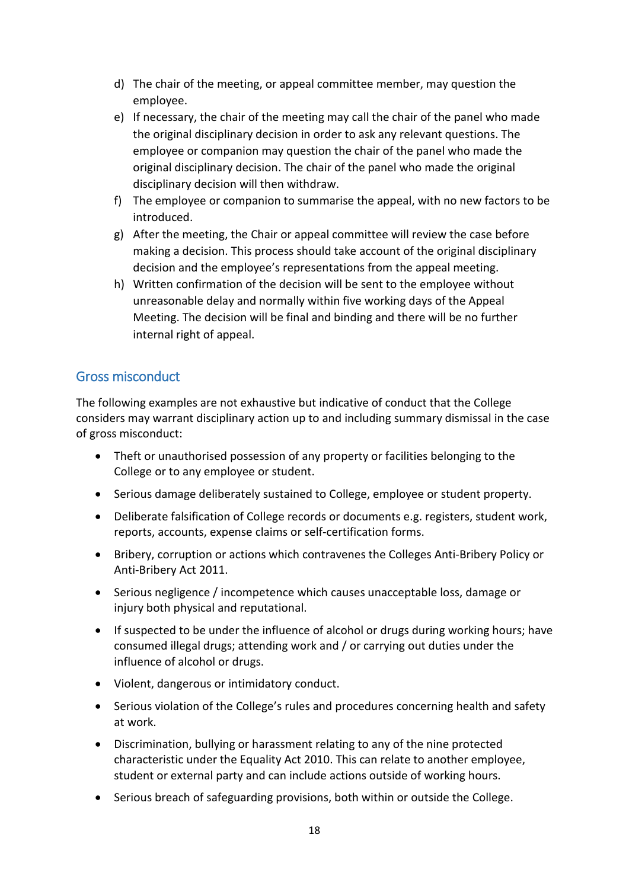- d) The chair of the meeting, or appeal committee member, may question the employee.
- e) If necessary, the chair of the meeting may call the chair of the panel who made the original disciplinary decision in order to ask any relevant questions. The employee or companion may question the chair of the panel who made the original disciplinary decision. The chair of the panel who made the original disciplinary decision will then withdraw.
- f) The employee or companion to summarise the appeal, with no new factors to be introduced.
- g) After the meeting, the Chair or appeal committee will review the case before making a decision. This process should take account of the original disciplinary decision and the employee's representations from the appeal meeting.
- h) Written confirmation of the decision will be sent to the employee without unreasonable delay and normally within five working days of the Appeal Meeting. The decision will be final and binding and there will be no further internal right of appeal.

#### Gross misconduct

The following examples are not exhaustive but indicative of conduct that the College considers may warrant disciplinary action up to and including summary dismissal in the case of gross misconduct:

- Theft or unauthorised possession of any property or facilities belonging to the College or to any employee or student.
- Serious damage deliberately sustained to College, employee or student property.
- Deliberate falsification of College records or documents e.g. registers, student work, reports, accounts, expense claims or self-certification forms.
- Bribery, corruption or actions which contravenes the Colleges Anti-Bribery Policy or Anti-Bribery Act 2011.
- Serious negligence / incompetence which causes unacceptable loss, damage or injury both physical and reputational.
- If suspected to be under the influence of alcohol or drugs during working hours; have consumed illegal drugs; attending work and / or carrying out duties under the influence of alcohol or drugs.
- Violent, dangerous or intimidatory conduct.
- Serious violation of the College's rules and procedures concerning health and safety at work.
- Discrimination, bullying or harassment relating to any of the nine protected characteristic under the Equality Act 2010. This can relate to another employee, student or external party and can include actions outside of working hours.
- Serious breach of safeguarding provisions, both within or outside the College.